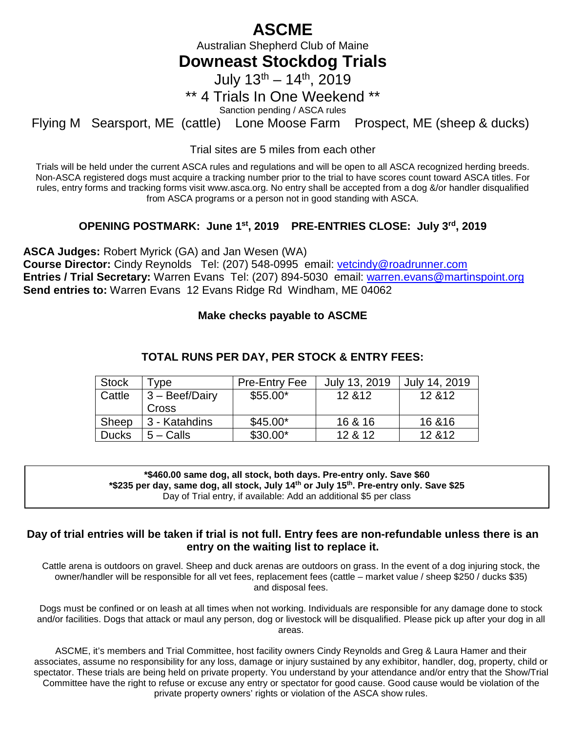# **ASCME**

Australian Shepherd Club of Maine

## **Downeast Stockdog Trials**

July  $13^{th} - 14^{th}$ , 2019

### \*\* 4 Trials In One Weekend \*\*

Sanction pending / ASCA rules

Flying M Searsport, ME (cattle) Lone Moose Farm Prospect, ME (sheep & ducks)

Trial sites are 5 miles from each other

Trials will be held under the current ASCA rules and regulations and will be open to all ASCA recognized herding breeds. Non-ASCA registered dogs must acquire a tracking number prior to the trial to have scores count toward ASCA titles. For rules, entry forms and tracking forms visit www.asca.org. No entry shall be accepted from a dog &/or handler disqualified from ASCA programs or a person not in good standing with ASCA.

### **OPENING POSTMARK: June 1st, 2019 PRE-ENTRIES CLOSE: July 3rd, 2019**

**ASCA Judges:** Robert Myrick (GA) and Jan Wesen (WA)

**Course Director:** Cindy Reynolds Tel: (207) 548-0995 email: [vetcindy@roadrunner.com](mailto:vetcindy@roadrunner.com) **Entries / Trial Secretary:** Warren Evans Tel: (207) 894-5030 email: [warren.evans@martinspoint.org](mailto:warren.evans@martinspoint.org) **Send entries to:** Warren Evans 12 Evans Ridge Rd Windham, ME 04062

### **Make checks payable to ASCME**

| <b>Stock</b> | ' ype            | <b>Pre-Entry Fee</b> | July 13, 2019 | July 14, 2019 |  |
|--------------|------------------|----------------------|---------------|---------------|--|
| Cattle       | $3 -$ Beef/Dairy | $$55.00*$            | 12 & 12       | 12 & 12       |  |
|              | Cross            |                      |               |               |  |
| Sheep        | 3 - Katahdins    | $$45.00*$            | 16 & 16       | 16 & 16       |  |
| <b>Ducks</b> | $5 -$ Calls      | $$30.00*$            | 12 & 12       | 12 & 12       |  |

### **TOTAL RUNS PER DAY, PER STOCK & ENTRY FEES:**

**\*\$460.00 same dog, all stock, both days. Pre-entry only. Save \$60 \*\$235 per day, same dog, all stock, July 14th or July 15th. Pre-entry only. Save \$25** Day of Trial entry, if available: Add an additional \$5 per class

### **Day of trial entries will be taken if trial is not full. Entry fees are non-refundable unless there is an entry on the waiting list to replace it.**

Cattle arena is outdoors on gravel. Sheep and duck arenas are outdoors on grass. In the event of a dog injuring stock, the owner/handler will be responsible for all vet fees, replacement fees (cattle – market value / sheep \$250 / ducks \$35) and disposal fees.

Dogs must be confined or on leash at all times when not working. Individuals are responsible for any damage done to stock and/or facilities. Dogs that attack or maul any person, dog or livestock will be disqualified. Please pick up after your dog in all areas.

ASCME, it's members and Trial Committee, host facility owners Cindy Reynolds and Greg & Laura Hamer and their associates, assume no responsibility for any loss, damage or injury sustained by any exhibitor, handler, dog, property, child or spectator. These trials are being held on private property. You understand by your attendance and/or entry that the Show/Trial Committee have the right to refuse or excuse any entry or spectator for good cause. Good cause would be violation of the private property owners' rights or violation of the ASCA show rules.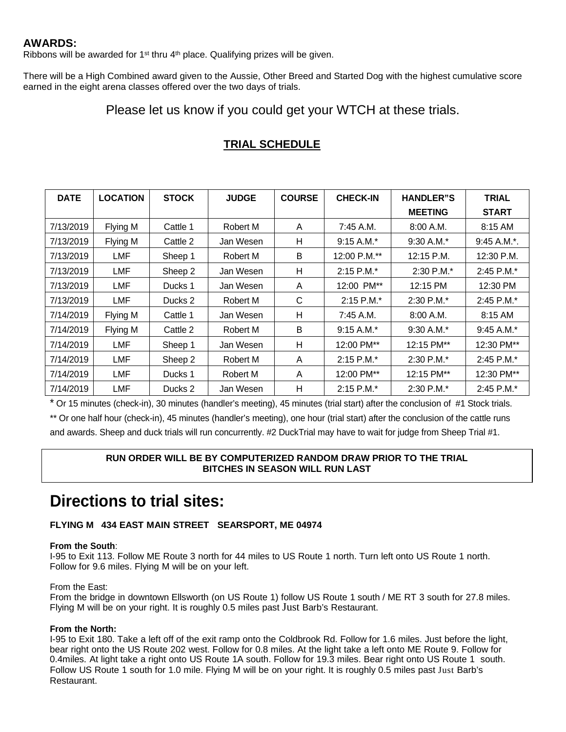### **AWARDS:**

Ribbons will be awarded for 1<sup>st</sup> thru 4<sup>th</sup> place. Qualifying prizes will be given.

There will be a High Combined award given to the Aussie, Other Breed and Started Dog with the highest cumulative score earned in the eight arena classes offered over the two days of trials.

### Please let us know if you could get your WTCH at these trials.

| <b>DATE</b> | <b>LOCATION</b> | <b>STOCK</b> | <b>JUDGE</b> | <b>COURSE</b> | <b>CHECK-IN</b> | <b>HANDLER"S</b> | <b>TRIAL</b>    |
|-------------|-----------------|--------------|--------------|---------------|-----------------|------------------|-----------------|
|             |                 |              |              |               |                 | <b>MEETING</b>   | <b>START</b>    |
| 7/13/2019   | Flying M        | Cattle 1     | Robert M     | A             | $7:45$ A.M.     | 8:00 A.M.        | 8:15 AM         |
| 7/13/2019   | Flying M        | Cattle 2     | Jan Wesen    | Н             | $9:15 A.M.*$    | $9:30 A.M.*$     | $9:45 A.M.*.$   |
| 7/13/2019   | <b>LMF</b>      | Sheep 1      | Robert M     | B             | 12:00 P.M.**    | 12:15 P.M.       | 12:30 P.M.      |
| 7/13/2019   | LMF             | Sheep 2      | Jan Wesen    | н             | $2:15$ P.M. $*$ | $2:30$ P.M.*     | 2:45 P.M.*      |
| 7/13/2019   | <b>LMF</b>      | Ducks 1      | Jan Wesen    | A             | 12:00 PM**      | 12:15 PM         | 12:30 PM        |
| 7/13/2019   | LMF             | Ducks 2      | Robert M     | C             | $2:15$ P.M.*    | $2:30$ P.M. $*$  | $2:45$ P.M. $*$ |
| 7/14/2019   | Flying M        | Cattle 1     | Jan Wesen    | н             | $7:45$ A.M.     | 8:00 A.M.        | 8:15 AM         |
| 7/14/2019   | Flying M        | Cattle 2     | Robert M     | B             | $9:15 A.M.*$    | $9:30$ A.M.*     | $9:45$ A.M.*    |
| 7/14/2019   | LMF             | Sheep 1      | Jan Wesen    | н             | 12:00 PM**      | 12:15 PM**       | 12:30 PM**      |
| 7/14/2019   | <b>LMF</b>      | Sheep 2      | Robert M     | A             | $2:15$ P.M. $*$ | 2:30 P.M.*       | 2:45 P.M.*      |
| 7/14/2019   | LMF             | Ducks 1      | Robert M     | A             | 12:00 PM**      | 12:15 PM**       | 12:30 PM**      |
| 7/14/2019   | <b>LMF</b>      | Ducks 2      | Jan Wesen    | н             | $2:15$ P.M.*    | 2:30 P.M.*       | 2:45 P.M.*      |

### **TRIAL SCHEDULE**

\* Or 15 minutes (check-in), 30 minutes (handler's meeting), 45 minutes (trial start) after the conclusion of #1 Stock trials.

\*\* Or one half hour (check-in), 45 minutes (handler's meeting), one hour (trial start) after the conclusion of the cattle runs and awards. Sheep and duck trials will run concurrently. #2 DuckTrial may have to wait for judge from Sheep Trial #1.

#### **RUN ORDER WILL BE BY COMPUTERIZED RANDOM DRAW PRIOR TO THE TRIAL BITCHES IN SEASON WILL RUN LAST**

# **Directions to trial sites:**

#### **FLYING M 434 EAST MAIN STREET SEARSPORT, ME 04974**

#### **From the South**:

I-95 to Exit 113. Follow ME Route 3 north for 44 miles to US Route 1 north. Turn left onto US Route 1 north. Follow for 9.6 miles. Flying M will be on your left.

#### From the East:

From the bridge in downtown Ellsworth (on US Route 1) follow US Route 1 south / ME RT 3 south for 27.8 miles. Flying M will be on your right. It is roughly 0.5 miles past Just Barb's Restaurant.

#### **From the North:**

I-95 to Exit 180. Take a left off of the exit ramp onto the Coldbrook Rd. Follow for 1.6 miles. Just before the light, bear right onto the US Route 202 west. Follow for 0.8 miles. At the light take a left onto ME Route 9. Follow for 0.4miles. At light take a right onto US Route 1A south. Follow for 19.3 miles. Bear right onto US Route 1 south. Follow US Route 1 south for 1.0 mile. Flying M will be on your right. It is roughly 0.5 miles past Just Barb's Restaurant.